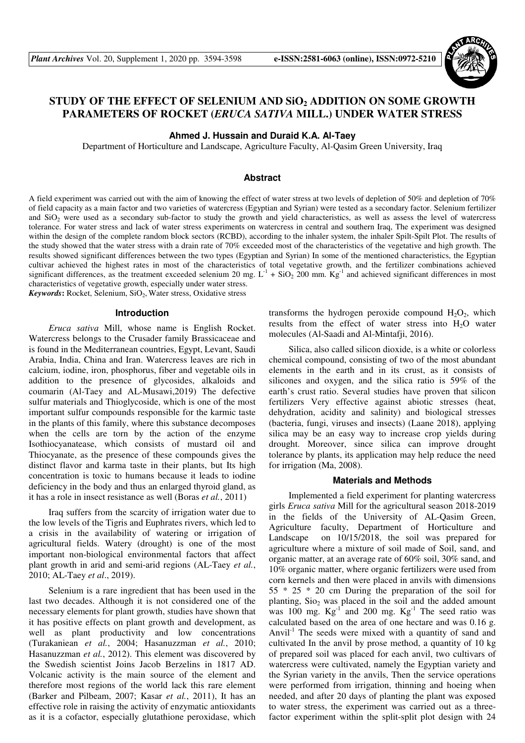

# **STUDY OF THE EFFECT OF SELENIUM AND SiO2 ADDITION ON SOME GROWTH PARAMETERS OF ROCKET (***ERUCA SATIVA* **MILL.) UNDER WATER STRESS**

### **Ahmed J. Hussain and Duraid K.A. Al-Taey**

Department of Horticulture and Landscape, Agriculture Faculty, Al-Qasim Green University, Iraq

# **Abstract**

A field experiment was carried out with the aim of knowing the effect of water stress at two levels of depletion of 50% and depletion of 70% of field capacity as a main factor and two varieties of watercress (Egyptian and Syrian) were tested as a secondary factor. Selenium fertilizer and  $SiO<sub>2</sub>$  were used as a secondary sub-factor to study the growth and yield characteristics, as well as assess the level of watercress tolerance. For water stress and lack of water stress experiments on watercress in central and southern Iraq, The experiment was designed within the design of the complete random block sectors (RCBD), according to the inhaler system, the inhaler Spilt-Spilt Plot. The results of the study showed that the water stress with a drain rate of 70% exceeded most of the characteristics of the vegetative and high growth. The results showed significant differences between the two types (Egyptian and Syrian) In some of the mentioned characteristics, the Egyptian cultivar achieved the highest rates in most of the characteristics of total vegetative growth, and the fertilizer combinations achieved significant differences, as the treatment exceeded selenium 20 mg.  $L^{-1}$  + SiO<sub>2</sub> 200 mm. Kg<sup>-1</sup> and achieved significant differences in most characteristics of vegetative growth, especially under water stress.

Keywords: Rocket, Selenium, SiO<sub>2</sub>, Water stress, Oxidative stress

## **Introduction**

*Eruca sativa* Mill, whose name is English Rocket. Watercress belongs to the Crusader family Brassicaceae and is found in the Mediterranean countries, Egypt, Levant, Saudi Arabia, India, China and Iran. Watercress leaves are rich in calcium, iodine, iron, phosphorus, fiber and vegetable oils in addition to the presence of glycosides, alkaloids and coumarin (Al-Taey and AL-Musawi,2019) The defective sulfur materials and Thioglycoside, which is one of the most important sulfur compounds responsible for the karmic taste in the plants of this family, where this substance decomposes when the cells are torn by the action of the enzyme Isothiocyanatease, which consists of mustard oil and Thiocyanate, as the presence of these compounds gives the distinct flavor and karma taste in their plants, but Its high concentration is toxic to humans because it leads to iodine deficiency in the body and thus an enlarged thyroid gland, as it has a role in insect resistance as well (Boras *et al.*, 2011)

Iraq suffers from the scarcity of irrigation water due to the low levels of the Tigris and Euphrates rivers, which led to a crisis in the availability of watering or irrigation of agricultural fields. Watery (drought) is one of the most important non-biological environmental factors that affect plant growth in arid and semi-arid regions (AL-Taey *et al.*, 2010; AL-Taey *et al*., 2019).

Selenium is a rare ingredient that has been used in the last two decades. Although it is not considered one of the necessary elements for plant growth, studies have shown that it has positive effects on plant growth and development, as well as plant productivity and low concentrations (Turakaniean *et al.*, 2004; Hasanuzzman *et al.*, 2010; Hasanuzzman *et al.*, 2012). This element was discovered by the Swedish scientist Joins Jacob Berzelins in 1817 AD. Volcanic activity is the main source of the element and therefore most regions of the world lack this rare element (Barker and Pilbeam, 2007; Kasar *et al.*, 2011), It has an effective role in raising the activity of enzymatic antioxidants as it is a cofactor, especially glutathione peroxidase, which transforms the hydrogen peroxide compound  $H_2O_2$ , which results from the effect of water stress into  $H<sub>2</sub>O$  water molecules (Al-Saadi and Al-Mintafji, 2016).

Silica, also called silicon dioxide, is a white or colorless chemical compound, consisting of two of the most abundant elements in the earth and in its crust, as it consists of silicones and oxygen, and the silica ratio is 59% of the earth's crust ratio. Several studies have proven that silicon fertilizers Very effective against abiotic stresses (heat, dehydration, acidity and salinity) and biological stresses (bacteria, fungi, viruses and insects) (Laane 2018), applying silica may be an easy way to increase crop yields during drought. Moreover, since silica can improve drought tolerance by plants, its application may help reduce the need for irrigation (Ma, 2008).

### **Materials and Methods**

Implemented a field experiment for planting watercress girls *Eruca sativa* Mill for the agricultural season 2018-2019 in the fields of the University of AL-Qasim Green, Agriculture faculty, Department of Horticulture and Landscape on 10/15/2018, the soil was prepared for agriculture where a mixture of soil made of Soil, sand, and organic matter, at an average rate of 60% soil, 30% sand, and 10% organic matter, where organic fertilizers were used from corn kernels and then were placed in anvils with dimensions 55 \* 25 \* 20 cm During the preparation of the soil for planting,  $Si<sub>02</sub>$  was placed in the soil and the added amount was 100 mg.  $Kg^{-1}$  and 200 mg.  $Kg^{-1}$  The seed ratio was calculated based on the area of one hectare and was 0.16 g. Anvil<sup>-1</sup> The seeds were mixed with a quantity of sand and cultivated In the anvil by prose method, a quantity of 10 kg of prepared soil was placed for each anvil, two cultivars of watercress were cultivated, namely the Egyptian variety and the Syrian variety in the anvils, Then the service operations were performed from irrigation, thinning and hoeing when needed, and after 20 days of planting the plant was exposed to water stress, the experiment was carried out as a threefactor experiment within the split-split plot design with 24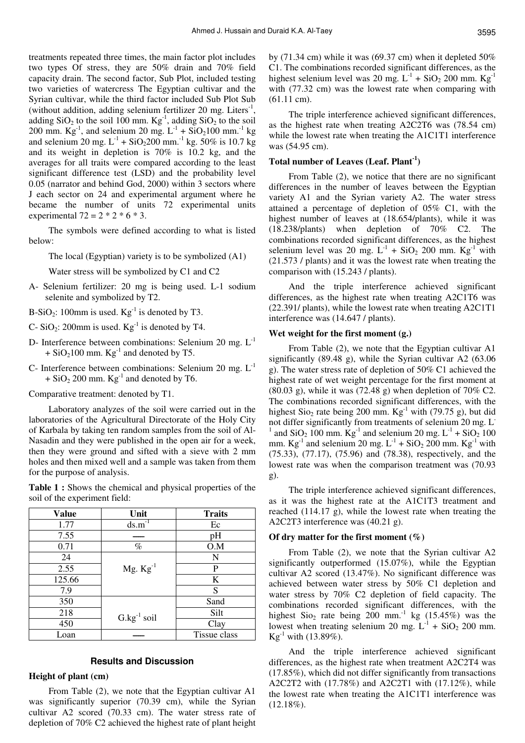treatments repeated three times, the main factor plot includes two types Of stress, they are 50% drain and 70% field capacity drain. The second factor, Sub Plot, included testing two varieties of watercress The Egyptian cultivar and the Syrian cultivar, while the third factor included Sub Plot Sub (without addition, adding selenium fertilizer 20 mg. Liters $^{-1}$ , adding  $SiO<sub>2</sub>$  to the soil 100 mm.  $Kg<sup>-1</sup>$ , adding  $SiO<sub>2</sub>$  to the soil 200 mm.  $Kg^{-1}$ , and selenium 20 mg.  $L^{-1}$  + SiO<sub>2</sub>100 mm.<sup>-1</sup> kg and selenium 20 mg.  $L^{-1}$  + SiO<sub>2</sub>200 mm.<sup>-1</sup> kg. 50% is 10.7 kg and its weight in depletion is 70% is 10.2 kg, and the averages for all traits were compared according to the least significant difference test (LSD) and the probability level 0.05 (narrator and behind God, 2000) within 3 sectors where J each sector on 24 and experimental argument where he became the number of units 72 experimental units experimental  $72 = 2 * 2 * 6 * 3$ .

The symbols were defined according to what is listed below:

The local (Egyptian) variety is to be symbolized (A1)

Water stress will be symbolized by C1 and C2

- A- Selenium fertilizer: 20 mg is being used. L-1 sodium selenite and symbolized by T2.
- B-SiO<sub>2</sub>: 100mm is used.  $Kg^{-1}$  is denoted by T3.
- C- SiO<sub>2</sub>: 200mm is used.  $Kg^{-1}$  is denoted by T4.
- D- Interference between combinations: Selenium 20 mg. L-1  $+$  SiO<sub>2</sub>100 mm. Kg<sup>-1</sup> and denoted by T5.
- C- Interference between combinations: Selenium 20 mg.  $L^{-1}$  $+$  SiO<sub>2</sub> 200 mm. Kg<sup>-1</sup> and denoted by T6.

Comparative treatment: denoted by T1.

Laboratory analyzes of the soil were carried out in the laboratories of the Agricultural Directorate of the Holy City of Karbala by taking ten random samples from the soil of Al-Nasadin and they were published in the open air for a week, then they were ground and sifted with a sieve with 2 mm holes and then mixed well and a sample was taken from them for the purpose of analysis.

**Table 1 :** Shows the chemical and physical properties of the soil of the experiment field:

| <b>Value</b> | Unit                 | <b>Traits</b> |
|--------------|----------------------|---------------|
| 1.77         | $ds.m^{-1}$          | Ec            |
| 7.55         |                      | pH            |
| 0.71         | $\%$                 | O.M           |
| 24           |                      | N             |
| 2.55         | Mg. $\text{Kg}^{-1}$ | P             |
| 125.66       |                      | K             |
| 7.9          |                      | S             |
| 350          |                      | Sand          |
| 218          | $G.kg^{-1}$ soil     | Silt          |
| 450          |                      | Clay          |
| Loan         |                      | Tissue class  |

# **Results and Discussion**

#### **Height of plant (cm)**

From Table (2), we note that the Egyptian cultivar A1 was significantly superior (70.39 cm), while the Syrian cultivar A2 scored (70.33 cm). The water stress rate of depletion of 70% C2 achieved the highest rate of plant height

by (71.34 cm) while it was (69.37 cm) when it depleted 50% C1. The combinations recorded significant differences, as the highest selenium level was 20 mg.  $L^{-1}$  + SiO<sub>2</sub> 200 mm. Kg<sup>-1</sup> with (77.32 cm) was the lowest rate when comparing with (61.11 cm).

The triple interference achieved significant differences, as the highest rate when treating A2C2T6 was (78.54 cm) while the lowest rate when treating the A1C1T1 interference was (54.95 cm).

# **Total number of Leaves (Leaf. Plant-1)**

From Table (2), we notice that there are no significant differences in the number of leaves between the Egyptian variety A1 and the Syrian variety A2. The water stress attained a percentage of depletion of 05% C1, with the highest number of leaves at (18.654/plants), while it was (18.238/plants) when depletion of 70% C2. The combinations recorded significant differences, as the highest selenium level was 20 mg.  $L^{-1}$  + SiO<sub>2</sub> 200 mm. Kg<sup>-1</sup> with (21.573 / plants) and it was the lowest rate when treating the comparison with (15.243 / plants).

And the triple interference achieved significant differences, as the highest rate when treating A2C1T6 was (22.391/ plants), while the lowest rate when treating A2C1T1 interference was (14.647 / plants).

### **Wet weight for the first moment (g.)**

From Table (2), we note that the Egyptian cultivar A1 significantly (89.48 g), while the Syrian cultivar A2 (63.06 g). The water stress rate of depletion of 50% C1 achieved the highest rate of wet weight percentage for the first moment at  $(80.03 \text{ g})$ , while it was  $(72.48 \text{ g})$  when depletion of  $70\%$  C2. The combinations recorded significant differences, with the highest  $\text{Sio}_2$  rate being 200 mm.  $\text{Kg}^{-1}$  with (79.75 g), but did not differ significantly from treatments of selenium 20 mg. L-1 and  $SiO<sub>2</sub> 100$  mm.  $Kg<sup>-1</sup>$  and selenium 20 mg.  $L<sup>-1</sup> + SiO<sub>2</sub> 100$ mm.  $\text{Kg}^{-1}$  and selenium 20 mg.  $\text{L}^{-1}$  + SiO<sub>2</sub> 200 mm.  $\text{Kg}^{-1}$  with (75.33), (77.17), (75.96) and (78.38), respectively, and the lowest rate was when the comparison treatment was (70.93 g).

The triple interference achieved significant differences, as it was the highest rate at the A1C1T3 treatment and reached (114.17 g), while the lowest rate when treating the A2C2T3 interference was (40.21 g).

### **Of dry matter for the first moment (%)**

From Table (2), we note that the Syrian cultivar A2 significantly outperformed (15.07%), while the Egyptian cultivar A2 scored (13.47%). No significant difference was achieved between water stress by 50% C1 depletion and water stress by 70% C2 depletion of field capacity. The combinations recorded significant differences, with the highest  $\text{Sio}_2$  rate being 200 mm.<sup>-1</sup> kg (15.45%) was the lowest when treating selenium 20 mg.  $L^{-1}$  + SiO<sub>2</sub> 200 mm.  $Kg^{-1}$  with (13.89%).

And the triple interference achieved significant differences, as the highest rate when treatment A2C2T4 was (17.85%), which did not differ significantly from transactions A2C2T2 with (17.78%) and A2C2T1 with (17.12%), while the lowest rate when treating the A1C1T1 interference was (12.18%).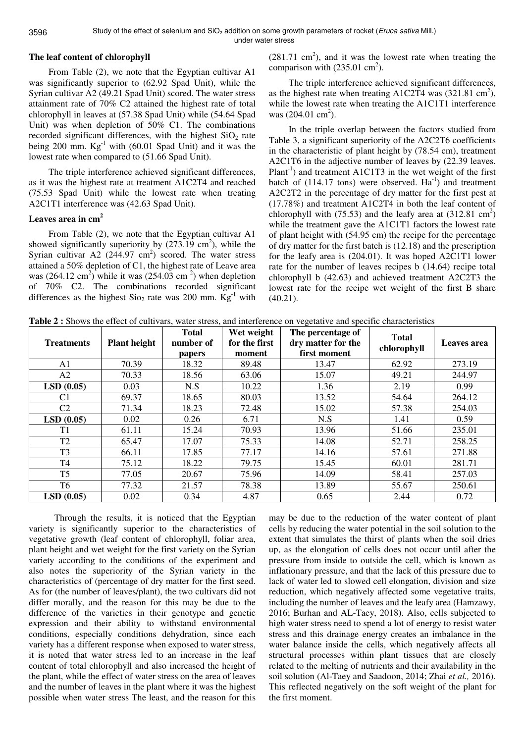under water stress

### **The leaf content of chlorophyll**

From Table (2), we note that the Egyptian cultivar A1 was significantly superior to (62.92 Spad Unit), while the Syrian cultivar A2 (49.21 Spad Unit) scored. The water stress attainment rate of 70% C2 attained the highest rate of total chlorophyll in leaves at (57.38 Spad Unit) while (54.64 Spad Unit) was when depletion of 50% C1. The combinations recorded significant differences, with the highest  $SiO<sub>2</sub>$  rate being 200 mm.  $Kg^{-1}$  with (60.01 Spad Unit) and it was the lowest rate when compared to (51.66 Spad Unit).

The triple interference achieved significant differences, as it was the highest rate at treatment A1C2T4 and reached (75.53 Spad Unit) while the lowest rate when treating A2C1T1 interference was (42.63 Spad Unit).

# **Leaves area in cm<sup>2</sup>**

From Table (2), we note that the Egyptian cultivar A1 showed significantly superiority by  $(273.19 \text{ cm}^2)$ , while the Syrian cultivar A2  $(244.97 \text{ cm}^2)$  scored. The water stress attained a 50% depletion of C1, the highest rate of Leave area was  $(264.12 \text{ cm}^2)$  while it was  $(254.03 \text{ cm}^2)$  when depletion of 70% C2. The combinations recorded significant differences as the highest  $Si<sub>o<sub>2</sub></sub>$  rate was 200 mm.  $Kg<sup>-1</sup>$  with

 $(281.71 \text{ cm}^2)$ , and it was the lowest rate when treating the comparison with  $(235.01 \text{ cm}^2)$ .

The triple interference achieved significant differences, as the highest rate when treating A1C2T4 was  $(321.81 \text{ cm}^2)$ , while the lowest rate when treating the A1C1T1 interference was  $(204.01 \text{ cm}^2)$ .

In the triple overlap between the factors studied from Table 3, a significant superiority of the A2C2T6 coefficients in the characteristic of plant height by (78.54 cm), treatment A2C1T6 in the adjective number of leaves by (22.39 leaves.  $Plant<sup>-1</sup>$ ) and treatment A1C1T3 in the wet weight of the first batch of  $(114.17 \text{ tons})$  were observed.  $Ha^{-1}$  and treatment A2C2T2 in the percentage of dry matter for the first pest at (17.78%) and treatment A1C2T4 in both the leaf content of chlorophyll with  $(75.53)$  and the leafy area at  $(312.81 \text{ cm}^2)$ while the treatment gave the A1C1T1 factors the lowest rate of plant height with (54.95 cm) the recipe for the percentage of dry matter for the first batch is (12.18) and the prescription for the leafy area is (204.01). It was hoped A2C1T1 lower rate for the number of leaves recipes b (14.64) recipe total chlorophyll b (42.63) and achieved treatment A2C2T3 the lowest rate for the recipe wet weight of the first B share (40.21).

**Table 2 :** Shows the effect of cultivars, water stress, and interference on vegetative and specific characteristics

| <b>Treatments</b> | <b>Plant height</b> | <b>Total</b><br>number of<br>papers | Wet weight<br>for the first<br>moment | The percentage of<br>dry matter for the<br>first moment | <b>Total</b><br>chlorophyll | Leaves area |
|-------------------|---------------------|-------------------------------------|---------------------------------------|---------------------------------------------------------|-----------------------------|-------------|
| A1                | 70.39               | 18.32                               | 89.48                                 | 13.47                                                   | 62.92                       | 273.19      |
| A2                | 70.33               | 18.56                               | 63.06                                 | 15.07                                                   | 49.21                       | 244.97      |
| LSD(0.05)         | 0.03                | N.S                                 | 10.22                                 | 1.36                                                    | 2.19                        | 0.99        |
| C1                | 69.37               | 18.65                               | 80.03                                 | 13.52                                                   | 54.64                       | 264.12      |
| C <sub>2</sub>    | 71.34               | 18.23                               | 72.48                                 | 15.02                                                   | 57.38                       | 254.03      |
| LSD(0.05)         | 0.02                | 0.26                                | 6.71                                  | N.S                                                     | 1.41                        | 0.59        |
| T1                | 61.11               | 15.24                               | 70.93                                 | 13.96                                                   | 51.66                       | 235.01      |
| T <sub>2</sub>    | 65.47               | 17.07                               | 75.33                                 | 14.08                                                   | 52.71                       | 258.25      |
| T <sub>3</sub>    | 66.11               | 17.85                               | 77.17                                 | 14.16                                                   | 57.61                       | 271.88      |
| T <sub>4</sub>    | 75.12               | 18.22                               | 79.75                                 | 15.45                                                   | 60.01                       | 281.71      |
| T <sub>5</sub>    | 77.05               | 20.67                               | 75.96                                 | 14.09                                                   | 58.41                       | 257.03      |
| T6                | 77.32               | 21.57                               | 78.38                                 | 13.89                                                   | 55.67                       | 250.61      |
| LSD(0.05)         | 0.02                | 0.34                                | 4.87                                  | 0.65                                                    | 2.44                        | 0.72        |

 Through the results, it is noticed that the Egyptian variety is significantly superior to the characteristics of vegetative growth (leaf content of chlorophyll, foliar area, plant height and wet weight for the first variety on the Syrian variety according to the conditions of the experiment and also notes the superiority of the Syrian variety in the characteristics of (percentage of dry matter for the first seed. As for (the number of leaves/plant), the two cultivars did not differ morally, and the reason for this may be due to the difference of the varieties in their genotype and genetic expression and their ability to withstand environmental conditions, especially conditions dehydration, since each variety has a different response when exposed to water stress, it is noted that water stress led to an increase in the leaf content of total chlorophyll and also increased the height of the plant, while the effect of water stress on the area of leaves and the number of leaves in the plant where it was the highest possible when water stress The least, and the reason for this

may be due to the reduction of the water content of plant cells by reducing the water potential in the soil solution to the extent that simulates the thirst of plants when the soil dries up, as the elongation of cells does not occur until after the pressure from inside to outside the cell, which is known as inflationary pressure, and that the lack of this pressure due to lack of water led to slowed cell elongation, division and size reduction, which negatively affected some vegetative traits, including the number of leaves and the leafy area (Hamzawy, 2016; Burhan and AL-Taey, 2018). Also, cells subjected to high water stress need to spend a lot of energy to resist water stress and this drainage energy creates an imbalance in the water balance inside the cells, which negatively affects all structural processes within plant tissues that are closely related to the melting of nutrients and their availability in the soil solution (Al-Taey and Saadoon, 2014; Zhai *et al.,* 2016). This reflected negatively on the soft weight of the plant for the first moment.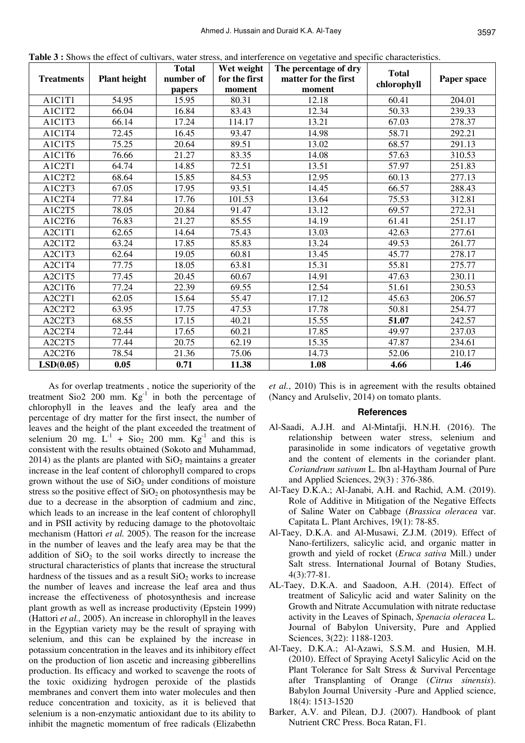| <b>Treatments</b> | <b>Plant height</b> | <b>Total</b><br>number of<br>papers | Wet weight<br>for the first<br>moment | The percentage of dry<br>matter for the first<br>moment | <b>Total</b><br>chlorophyll | Paper space |
|-------------------|---------------------|-------------------------------------|---------------------------------------|---------------------------------------------------------|-----------------------------|-------------|
| A1C1T1            | 54.95               | 15.95                               | 80.31                                 | 12.18                                                   | 60.41                       | 204.01      |
| A1C1T2            | 66.04               | 16.84                               | 83.43                                 | 12.34                                                   | 50.33                       | 239.33      |
| A1C1T3            | 66.14               | 17.24                               | 114.17                                | 13.21                                                   | 67.03                       | 278.37      |
| A1C1T4            | 72.45               | 16.45                               | 93.47                                 | 14.98                                                   | 58.71                       | 292.21      |
| A1C1T5            | 75.25               | 20.64                               | 89.51                                 | 13.02                                                   | 68.57                       | 291.13      |
| A1C1T6            | 76.66               | 21.27                               | 83.35                                 | 14.08                                                   | 57.63                       | 310.53      |
| A1C2T1            | 64.74               | 14.85                               | 72.51                                 | 13.51                                                   | 57.97                       | 251.83      |
| A1C2T2            | 68.64               | 15.85                               | 84.53                                 | 12.95                                                   | 60.13                       | 277.13      |
| A1C2T3            | 67.05               | 17.95                               | 93.51                                 | 14.45                                                   | 66.57                       | 288.43      |
| A1C2T4            | 77.84               | 17.76                               | 101.53                                | 13.64                                                   | 75.53                       | 312.81      |
| A1C2T5            | 78.05               | 20.84                               | 91.47                                 | 13.12                                                   | 69.57                       | 272.31      |
| A1C2T6            | 76.83               | 21.27                               | 85.55                                 | 14.19                                                   | 61.41                       | 251.17      |
| A2C1T1            | 62.65               | 14.64                               | 75.43                                 | 13.03                                                   | 42.63                       | 277.61      |
| A2C1T2            | 63.24               | 17.85                               | 85.83                                 | 13.24                                                   | 49.53                       | 261.77      |
| A2C1T3            | 62.64               | 19.05                               | 60.81                                 | 13.45                                                   | 45.77                       | 278.17      |
| A2C1T4            | 77.75               | 18.05                               | 63.81                                 | 15.31                                                   | 55.81                       | 275.77      |
| A2C1T5            | 77.45               | 20.45                               | 60.67                                 | 14.91                                                   | 47.63                       | 230.11      |
| A2C1T6            | 77.24               | 22.39                               | 69.55                                 | 12.54                                                   | 51.61                       | 230.53      |
| A2C2T1            | 62.05               | 15.64                               | 55.47                                 | 17.12                                                   | 45.63                       | 206.57      |
| A2C2T2            | 63.95               | 17.75                               | 47.53                                 | 17.78                                                   | 50.81                       | 254.77      |
| A2C2T3            | 68.55               | 17.15                               | 40.21                                 | 15.55                                                   | 51.07                       | 242.57      |
| A2C2T4            | 72.44               | 17.65                               | 60.21                                 | 17.85                                                   | 49.97                       | 237.03      |
| A2C2T5            | 77.44               | 20.75                               | 62.19                                 | 15.35                                                   | 47.87                       | 234.61      |
| A2C2T6            | 78.54               | 21.36                               | 75.06                                 | 14.73                                                   | 52.06                       | 210.17      |
| LSD(0.05)         | 0.05                | 0.71                                | 11.38                                 | 1.08                                                    | 4.66                        | 1.46        |

**Table 3 :** Shows the effect of cultivars, water stress, and interference on vegetative and specific characteristics.

As for overlap treatments , notice the superiority of the treatment Sio2  $200$  mm.  $Kg^{-1}$  in both the percentage of chlorophyll in the leaves and the leafy area and the percentage of dry matter for the first insect, the number of leaves and the height of the plant exceeded the treatment of selenium 20 mg.  $L^{-1}$  + Sio<sub>2</sub> 200 mm. Kg<sup>-1</sup> and this is consistent with the results obtained (Sokoto and Muhammad,  $2014$ ) as the plants are planted with  $SiO<sub>2</sub>$  maintains a greater increase in the leaf content of chlorophyll compared to crops grown without the use of  $SiO<sub>2</sub>$  under conditions of moisture stress so the positive effect of  $SiO<sub>2</sub>$  on photosynthesis may be due to a decrease in the absorption of cadmium and zinc, which leads to an increase in the leaf content of chlorophyll and in PSII activity by reducing damage to the photovoltaic mechanism (Hattori *et al.* 2005). The reason for the increase in the number of leaves and the leafy area may be that the addition of  $SiO<sub>2</sub>$  to the soil works directly to increase the structural characteristics of plants that increase the structural hardness of the tissues and as a result  $SiO<sub>2</sub>$  works to increase the number of leaves and increase the leaf area and thus increase the effectiveness of photosynthesis and increase plant growth as well as increase productivity (Epstein 1999) (Hattori *et al.,* 2005). An increase in chlorophyll in the leaves in the Egyptian variety may be the result of spraying with selenium, and this can be explained by the increase in potassium concentration in the leaves and its inhibitory effect on the production of lion ascetic and increasing gibberellins production. Its efficacy and worked to scavenge the roots of the toxic oxidizing hydrogen peroxide of the plastids membranes and convert them into water molecules and then reduce concentration and toxicity, as it is believed that selenium is a non-enzymatic antioxidant due to its ability to inhibit the magnetic momentum of free radicals (Elizabethn

*et al.*, 2010) This is in agreement with the results obtained (Nancy and Arulseliv, 2014) on tomato plants.

#### **References**

- Al-Saadi, A.J.H. and Al-Mintafji, H.N.H. (2016). The relationship between water stress, selenium and parasinolide in some indicators of vegetative growth and the content of elements in the coriander plant. *Coriandrum sativum* L. Ibn al-Haytham Journal of Pure and Applied Sciences, 29(3) : 376-386.
- Al-Taey D.K.A.; Al-Janabi, A.H. and Rachid, A.M. (2019). Role of Additive in Mitigation of the Negative Effects of Saline Water on Cabbage (*Brassica oleracea* var. Capitata L. Plant Archives, 19(1): 78-85.
- Al-Taey, D.K.A. and Al-Musawi, Z.J.M. (2019). Effect of Nano-fertilizers, salicylic acid, and organic matter in growth and yield of rocket (*Eruca sativa* Mill.) under Salt stress. International Journal of Botany Studies, 4(3):77-81.
- AL-Taey, D.K.A. and Saadoon, A.H. (2014). Effect of treatment of Salicylic acid and water Salinity on the Growth and Nitrate Accumulation with nitrate reductase activity in the Leaves of Spinach, *Spenacia oleracea* L. Journal of Babylon University, Pure and Applied Sciences, 3(22): 1188-1203.
- Al-Taey, D.K.A.; Al-Azawi, S.S.M. and Husien, M.H. (2010). Effect of Spraying Acetyl Salicylic Acid on the Plant Tolerance for Salt Stress & Survival Percentage after Transplanting of Orange (*Citrus sinensis*). Babylon Journal University -Pure and Applied science, 18(4): 1513-1520
- Barker, A.V. and Pilean, D.J. (2007). Handbook of plant Nutrient CRC Press. Boca Ratan, F1.